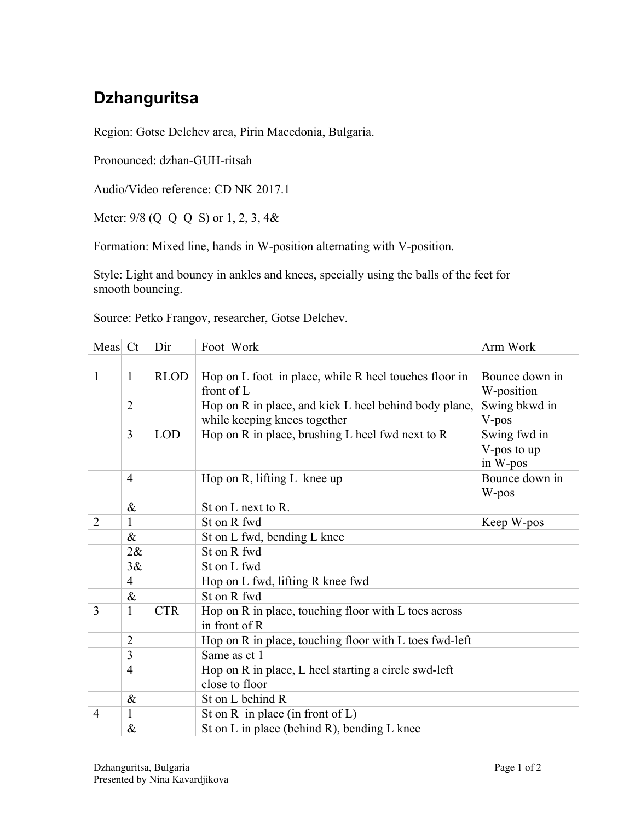## **Dzhanguritsa**

Region: Gotse Delchev area, Pirin Macedonia, Bulgaria.

Pronounced: dzhan-GUH-ritsah

Audio/Video reference: CD NK 2017.1

Meter: 9/8 (Q Q Q S) or 1, 2, 3, 4&

Formation: Mixed line, hands in W-position alternating with V-position.

Style: Light and bouncy in ankles and knees, specially using the balls of the feet for smooth bouncing.

Source: Petko Frangov, researcher, Gotse Delchev.

| Meas Ct        |                             | Dir                                                            | Foot Work                                                             | Arm Work       |  |
|----------------|-----------------------------|----------------------------------------------------------------|-----------------------------------------------------------------------|----------------|--|
|                |                             |                                                                |                                                                       |                |  |
| $\mathbf{1}$   | <b>RLOD</b><br>$\mathbf{1}$ |                                                                | Hop on L foot in place, while R heel touches floor in                 | Bounce down in |  |
|                | front of L                  |                                                                |                                                                       | W-position     |  |
|                | $\overline{2}$              |                                                                | Hop on R in place, and kick L heel behind body plane,                 | Swing bkwd in  |  |
|                |                             |                                                                | while keeping knees together                                          | V-pos          |  |
|                | 3                           | Hop on R in place, brushing L heel fwd next to R<br><b>LOD</b> |                                                                       | Swing fwd in   |  |
|                |                             |                                                                |                                                                       | V-pos to up    |  |
|                |                             |                                                                |                                                                       | in W-pos       |  |
|                | $\overline{4}$              |                                                                | Hop on R, lifting L knee up                                           | Bounce down in |  |
|                |                             |                                                                |                                                                       | W-pos          |  |
|                | $\&$                        |                                                                | St on L next to R.                                                    |                |  |
| $\overline{2}$ | 1                           |                                                                | St on R fwd                                                           | Keep W-pos     |  |
|                | $\&$                        |                                                                | St on L fwd, bending L knee                                           |                |  |
|                | $2\&$                       |                                                                | St on R fwd                                                           |                |  |
|                | 3&                          |                                                                | St on L fwd                                                           |                |  |
|                | $\overline{4}$              |                                                                | Hop on L fwd, lifting R knee fwd                                      |                |  |
|                | $\&$                        |                                                                | St on R fwd                                                           |                |  |
| 3              | $\mathbf{1}$                | <b>CTR</b>                                                     | Hop on R in place, touching floor with L toes across<br>in front of R |                |  |
|                | $\overline{2}$              |                                                                | Hop on R in place, touching floor with L toes fwd-left                |                |  |
|                | 3                           |                                                                | Same as ct 1                                                          |                |  |
|                | $\overline{4}$              |                                                                | Hop on R in place, L heel starting a circle swd-left                  |                |  |
|                |                             |                                                                | close to floor                                                        |                |  |
|                | $\&$                        |                                                                | St on L behind R                                                      |                |  |
| 4              | $\mathbf{1}$                |                                                                | St on $R$ in place (in front of $L$ )                                 |                |  |
|                | $\&$                        |                                                                | St on L in place (behind R), bending L knee                           |                |  |